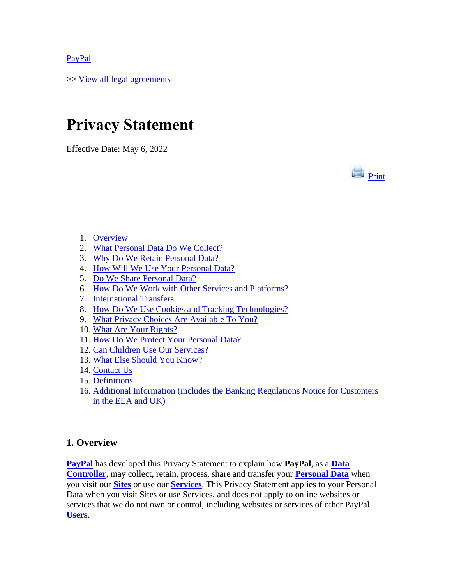[PayPal](https://www.paypal.com/uk/webapps/mpp/home?locale.x=en_GB)

>> [View all legal agreements](https://www.paypal.com/uk/webapps/mpp/ua/legalhub-full?locale.x=en_GB)

# **Privacy Statement**

Effective Date: May 6, 2022



- 1. [Overview](#page-0-0)
- 2. [What Personal Data Do We Collect?](#page-1-0)
- 3. [Why Do We Retain Personal Data?](#page-3-0)
- 4. [How Will We Use Your](#page-3-1) Personal Data?
- 5. [Do We Share Personal Data?](#page-5-0)
- 6. [How Do We Work with Other Services and Platforms?](#page-7-0)
- 7. [International Transfers](#page-8-0)
- 8. [How Do We Use Cookies and Tracking Technologies?](#page-8-1)
- 9. [What Privacy Choices Are Available To You?](#page-8-2)
- 10. [What Are Your Rights?](#page-11-0)
- 11. [How Do We Protect Your Personal Data?](#page-11-1)
- 12. [Can Children Use Our Services?](#page-12-0)
- 13. [What Else Should You Know?](#page-12-1)
- 14. [Contact Us](#page-12-2)
- 15. [Definitions](#page-13-0)
- 16. [Additional Information \(includes the Banking Regulations Notice for Customers](#page-14-0)  [in the EEA and UK\)](#page-14-0)

## <span id="page-0-0"></span>**1. Overview**

**[PayPal](#page-13-1)** has developed this Privacy Statement to explain how **PayPal**, as a **[Data](#page-13-2)  [Controller](#page-13-2)**, may collect, retain, process, share and transfer your **[Personal Data](#page-13-3)** when you visit our **[Sites](#page-13-4)** or use our **[Services](#page-13-5)**. This Privacy Statement applies to your Personal Data when you visit Sites or use Services, and does not apply to online websites or services that we do not own or control, including websites or services of other PayPal **[Users](#page-13-6)**.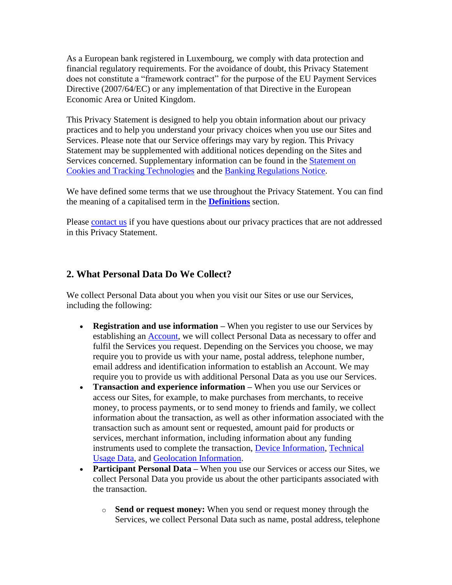As a European bank registered in Luxembourg, we comply with data protection and financial regulatory requirements. For the avoidance of doubt, this Privacy Statement does not constitute a "framework contract" for the purpose of the EU Payment Services Directive (2007/64/EC) or any implementation of that Directive in the European Economic Area or United Kingdom.

This Privacy Statement is designed to help you obtain information about our privacy practices and to help you understand your privacy choices when you use our Sites and Services. Please note that our Service offerings may vary by region. This Privacy Statement may be supplemented with additional notices depending on the Sites and Services concerned. Supplementary information can be found in the [Statement on](https://www.paypal.com/uk/webapps/mpp/ua/cookie-full?locale.x=en_GB)  [Cookies and Tracking Technologies](https://www.paypal.com/uk/webapps/mpp/ua/cookie-full?locale.x=en_GB) and the [Banking Regulations Notice.](#page-14-0)

We have defined some terms that we use throughout the Privacy Statement. You can find the meaning of a capitalised term in the **[Definitions](#page-13-0)** section.

Please [contact us](#page-12-2) if you have questions about our privacy practices that are not addressed in this Privacy Statement.

## <span id="page-1-0"></span>**2. What Personal Data Do We Collect?**

We collect Personal Data about you when you visit our Sites or use our Services, including the following:

- **Registration and use information** When you register to use our Services by establishing an [Account,](#page-13-7) we will collect Personal Data as necessary to offer and fulfil the Services you request. Depending on the Services you choose, we may require you to provide us with your name, postal address, telephone number, email address and identification information to establish an Account. We may require you to provide us with additional Personal Data as you use our Services.
- **Transaction and experience information** When you use our Services or access our Sites, for example, to make purchases from merchants, to receive money, to process payments, or to send money to friends and family, we collect information about the transaction, as well as other information associated with the transaction such as amount sent or requested, amount paid for products or services, merchant information, including information about any funding instruments used to complete the transaction, [Device Information,](#page-13-8) [Technical](#page-13-9)  [Usage Data,](#page-13-9) and [Geolocation Information.](#page-13-10)
- **Participant Personal Data** When you use our Services or access our Sites, we collect Personal Data you provide us about the other participants associated with the transaction.
	- o **Send or request money:** When you send or request money through the Services, we collect Personal Data such as name, postal address, telephone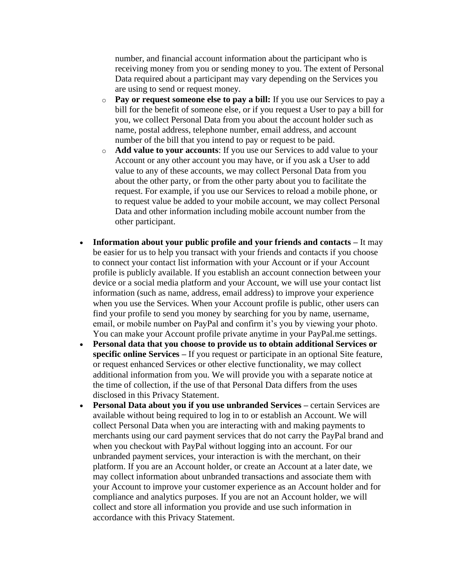number, and financial account information about the participant who is receiving money from you or sending money to you. The extent of Personal Data required about a participant may vary depending on the Services you are using to send or request money.

- o **Pay or request someone else to pay a bill:** If you use our Services to pay a bill for the benefit of someone else, or if you request a User to pay a bill for you, we collect Personal Data from you about the account holder such as name, postal address, telephone number, email address, and account number of the bill that you intend to pay or request to be paid.
- o **Add value to your accounts**: If you use our Services to add value to your Account or any other account you may have, or if you ask a User to add value to any of these accounts, we may collect Personal Data from you about the other party, or from the other party about you to facilitate the request. For example, if you use our Services to reload a mobile phone, or to request value be added to your mobile account, we may collect Personal Data and other information including mobile account number from the other participant.
- **Information about your public profile and your friends and contacts –** It may be easier for us to help you transact with your friends and contacts if you choose to connect your contact list information with your Account or if your Account profile is publicly available. If you establish an account connection between your device or a social media platform and your Account, we will use your contact list information (such as name, address, email address) to improve your experience when you use the Services. When your Account profile is public, other users can find your profile to send you money by searching for you by name, username, email, or mobile number on PayPal and confirm it's you by viewing your photo. You can make your Account profile private anytime in your PayPal.me settings.
- **Personal data that you choose to provide us to obtain additional Services or specific online Services –** If you request or participate in an optional Site feature, or request enhanced Services or other elective functionality, we may collect additional information from you. We will provide you with a separate notice at the time of collection, if the use of that Personal Data differs from the uses disclosed in this Privacy Statement.
- **Personal Data about you if you use unbranded Services –** certain Services are available without being required to log in to or establish an Account. We will collect Personal Data when you are interacting with and making payments to merchants using our card payment services that do not carry the PayPal brand and when you checkout with PayPal without logging into an account. For our unbranded payment services, your interaction is with the merchant, on their platform. If you are an Account holder, or create an Account at a later date, we may collect information about unbranded transactions and associate them with your Account to improve your customer experience as an Account holder and for compliance and analytics purposes. If you are not an Account holder, we will collect and store all information you provide and use such information in accordance with this Privacy Statement.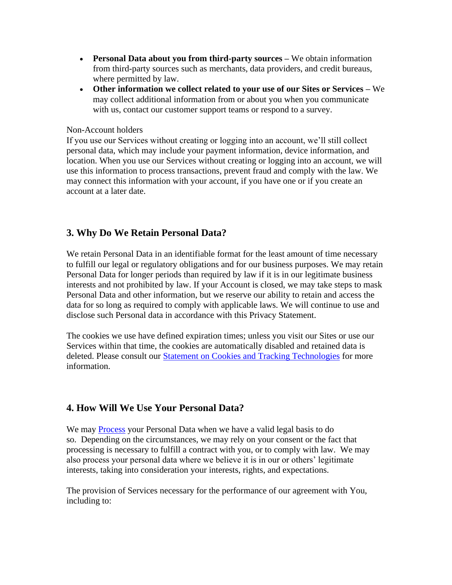- **Personal Data about you from third-party sources –** We obtain information from third-party sources such as merchants, data providers, and credit bureaus, where permitted by law.
- **Other information we collect related to your use of our Sites or Services –** We may collect additional information from or about you when you communicate with us, contact our customer support teams or respond to a survey.

#### Non-Account holders

If you use our Services without creating or logging into an account, we'll still collect personal data, which may include your payment information, device information, and location. When you use our Services without creating or logging into an account, we will use this information to process transactions, prevent fraud and comply with the law. We may connect this information with your account, if you have one or if you create an account at a later date.

#### <span id="page-3-0"></span>**3. Why Do We Retain Personal Data?**

We retain Personal Data in an identifiable format for the least amount of time necessary to fulfill our legal or regulatory obligations and for our business purposes. We may retain Personal Data for longer periods than required by law if it is in our legitimate business interests and not prohibited by law. If your Account is closed, we may take steps to mask Personal Data and other information, but we reserve our ability to retain and access the data for so long as required to comply with applicable laws. We will continue to use and disclose such Personal data in accordance with this Privacy Statement.

The cookies we use have defined expiration times; unless you visit our Sites or use our Services within that time, the cookies are automatically disabled and retained data is deleted. Please consult our [Statement on Cookies and Tracking Technologies](https://www.paypal.com/uk/webapps/mpp/ua/cookie-full?locale.x=en_GB) for more information.

#### <span id="page-3-1"></span>**4. How Will We Use Your Personal Data?**

We may [Process](#page-13-11) your Personal Data when we have a valid legal basis to do so. Depending on the circumstances, we may rely on your consent or the fact that processing is necessary to fulfill a contract with you, or to comply with law. We may also process your personal data where we believe it is in our or others' legitimate interests, taking into consideration your interests, rights, and expectations.

The provision of Services necessary for the performance of our agreement with You, including to: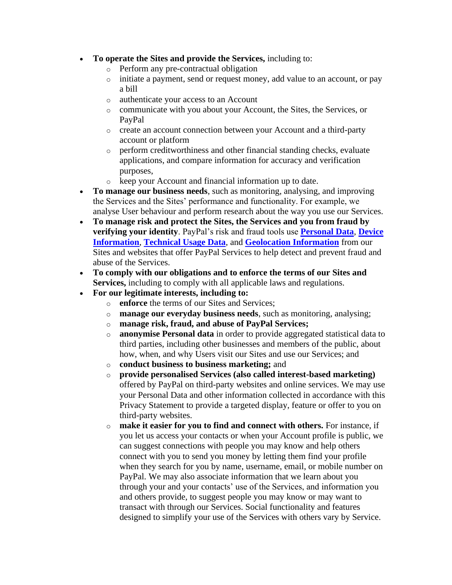- **To operate the Sites and provide the Services,** including to:
	- o Perform any pre-contractual obligation
	- o initiate a payment, send or request money, add value to an account, or pay a bill
	- o authenticate your access to an Account
	- o communicate with you about your Account, the Sites, the Services, or PayPal
	- o create an account connection between your Account and a third-party account or platform
	- o perform creditworthiness and other financial standing checks, evaluate applications, and compare information for accuracy and verification purposes,
	- o keep your Account and financial information up to date.
- **To manage our business needs**, such as monitoring, analysing, and improving the Services and the Sites' performance and functionality. For example, we analyse User behaviour and perform research about the way you use our Services.
- **To manage risk and protect the Sites, the Services and you from fraud by verifying your identity**. PayPal's risk and fraud tools use **[Personal Data](#page-13-3)**, **[Device](#page-13-8)  [Information](#page-13-8)**, **[Technical Usage Data](#page-13-9)**, and **[Geolocation Information](#page-13-10)** from our Sites and websites that offer PayPal Services to help detect and prevent fraud and abuse of the Services.
- **To comply with our obligations and to enforce the terms of our Sites and Services,** including to comply with all applicable laws and regulations.
- **For our legitimate interests, including to:**
	- o **enforce** the terms of our Sites and Services;
	- o **manage our everyday business needs**, such as monitoring, analysing;
	- o **manage risk, fraud, and abuse of PayPal Services;**
	- o **anonymise Personal data** in order to provide aggregated statistical data to third parties, including other businesses and members of the public, about how, when, and why Users visit our Sites and use our Services; and
	- o **conduct business to business marketing;** and
	- o **provide personalised Services (also called interest-based marketing)**  offered by PayPal on third-party websites and online services. We may use your Personal Data and other information collected in accordance with this Privacy Statement to provide a targeted display, feature or offer to you on third-party websites.
	- o **make it easier for you to find and connect with others.** For instance, if you let us access your contacts or when your Account profile is public, we can suggest connections with people you may know and help others connect with you to send you money by letting them find your profile when they search for you by name, username, email, or mobile number on PayPal. We may also associate information that we learn about you through your and your contacts' use of the Services, and information you and others provide, to suggest people you may know or may want to transact with through our Services. Social functionality and features designed to simplify your use of the Services with others vary by Service.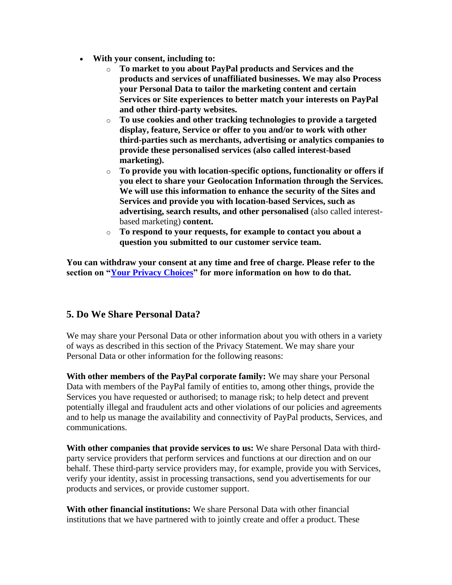- **With your consent, including to:**
	- o **To market to you about PayPal products and Services and the products and services of unaffiliated businesses. We may also Process your Personal Data to tailor the marketing content and certain Services or Site experiences to better match your interests on PayPal and other third-party websites.**
	- o **To use cookies and other tracking technologies to provide a targeted display, feature, Service or offer to you and/or to work with other third-parties such as merchants, advertising or analytics companies to provide these personalised services (also called interest-based marketing).**
	- o **To provide you with location-specific options, functionality or offers if you elect to share your Geolocation Information through the Services. We will use this information to enhance the security of the Sites and Services and provide you with location-based Services, such as advertising, search results, and other personalised** (also called interestbased marketing) **content.**
	- o **To respond to your requests, for example to contact you about a question you submitted to our customer service team.**

**You can withdraw your consent at any time and free of charge. Please refer to the section on ["Your Privacy Choices"](#page-8-2) for more information on how to do that.**

## <span id="page-5-0"></span>**5. Do We Share Personal Data?**

We may share your Personal Data or other information about you with others in a variety of ways as described in this section of the Privacy Statement. We may share your Personal Data or other information for the following reasons:

**With other members of the PayPal corporate family:** We may share your Personal Data with members of the PayPal family of entities to, among other things, provide the Services you have requested or authorised; to manage risk; to help detect and prevent potentially illegal and fraudulent acts and other violations of our policies and agreements and to help us manage the availability and connectivity of PayPal products, Services, and communications.

**With other companies that provide services to us:** We share Personal Data with thirdparty service providers that perform services and functions at our direction and on our behalf. These third-party service providers may, for example, provide you with Services, verify your identity, assist in processing transactions, send you advertisements for our products and services, or provide customer support.

**With other financial institutions:** We share Personal Data with other financial institutions that we have partnered with to jointly create and offer a product. These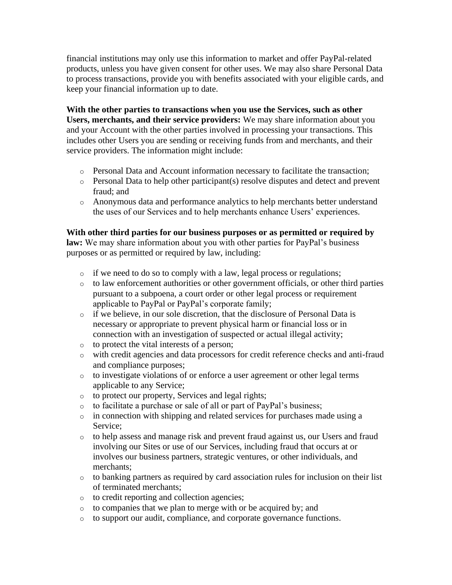financial institutions may only use this information to market and offer PayPal-related products, unless you have given consent for other uses. We may also share Personal Data to process transactions, provide you with benefits associated with your eligible cards, and keep your financial information up to date.

**With the other parties to transactions when you use the Services, such as other Users, merchants, and their service providers:** We may share information about you and your Account with the other parties involved in processing your transactions. This includes other Users you are sending or receiving funds from and merchants, and their service providers. The information might include:

- o Personal Data and Account information necessary to facilitate the transaction;
- o Personal Data to help other participant(s) resolve disputes and detect and prevent fraud; and
- o Anonymous data and performance analytics to help merchants better understand the uses of our Services and to help merchants enhance Users' experiences.

## **With other third parties for our business purposes or as permitted or required by**

**law:** We may share information about you with other parties for PayPal's business purposes or as permitted or required by law, including:

- o if we need to do so to comply with a law, legal process or regulations;
- o to law enforcement authorities or other government officials, or other third parties pursuant to a subpoena, a court order or other legal process or requirement applicable to PayPal or PayPal's corporate family;
- $\circ$  if we believe, in our sole discretion, that the disclosure of Personal Data is necessary or appropriate to prevent physical harm or financial loss or in connection with an investigation of suspected or actual illegal activity;
- o to protect the vital interests of a person;
- o with credit agencies and data processors for credit reference checks and anti-fraud and compliance purposes;
- o to investigate violations of or enforce a user agreement or other legal terms applicable to any Service;
- o to protect our property, Services and legal rights;
- o to facilitate a purchase or sale of all or part of PayPal's business;
- o in connection with shipping and related services for purchases made using a Service;
- o to help assess and manage risk and prevent fraud against us, our Users and fraud involving our Sites or use of our Services, including fraud that occurs at or involves our business partners, strategic ventures, or other individuals, and merchants;
- $\circ$  to banking partners as required by card association rules for inclusion on their list of terminated merchants;
- o to credit reporting and collection agencies;
- o to companies that we plan to merge with or be acquired by; and
- o to support our audit, compliance, and corporate governance functions.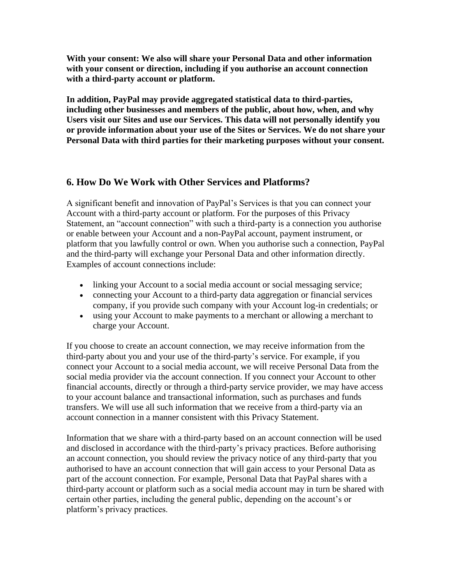**With your consent: We also will share your Personal Data and other information with your consent or direction, including if you authorise an account connection with a third-party account or platform.**

**In addition, PayPal may provide aggregated statistical data to third-parties, including other businesses and members of the public, about how, when, and why Users visit our Sites and use our Services. This data will not personally identify you or provide information about your use of the Sites or Services. We do not share your Personal Data with third parties for their marketing purposes without your consent.**

## <span id="page-7-0"></span>**6. How Do We Work with Other Services and Platforms?**

A significant benefit and innovation of PayPal's Services is that you can connect your Account with a third-party account or platform. For the purposes of this Privacy Statement, an "account connection" with such a third-party is a connection you authorise or enable between your Account and a non-PayPal account, payment instrument, or platform that you lawfully control or own. When you authorise such a connection, PayPal and the third-party will exchange your Personal Data and other information directly. Examples of account connections include:

- linking your Account to a social media account or social messaging service;
- connecting your Account to a third-party data aggregation or financial services company, if you provide such company with your Account log-in credentials; or
- using your Account to make payments to a merchant or allowing a merchant to charge your Account.

If you choose to create an account connection, we may receive information from the third-party about you and your use of the third-party's service. For example, if you connect your Account to a social media account, we will receive Personal Data from the social media provider via the account connection. If you connect your Account to other financial accounts, directly or through a third-party service provider, we may have access to your account balance and transactional information, such as purchases and funds transfers. We will use all such information that we receive from a third-party via an account connection in a manner consistent with this Privacy Statement.

Information that we share with a third-party based on an account connection will be used and disclosed in accordance with the third-party's privacy practices. Before authorising an account connection, you should review the privacy notice of any third-party that you authorised to have an account connection that will gain access to your Personal Data as part of the account connection. For example, Personal Data that PayPal shares with a third-party account or platform such as a social media account may in turn be shared with certain other parties, including the general public, depending on the account's or platform's privacy practices.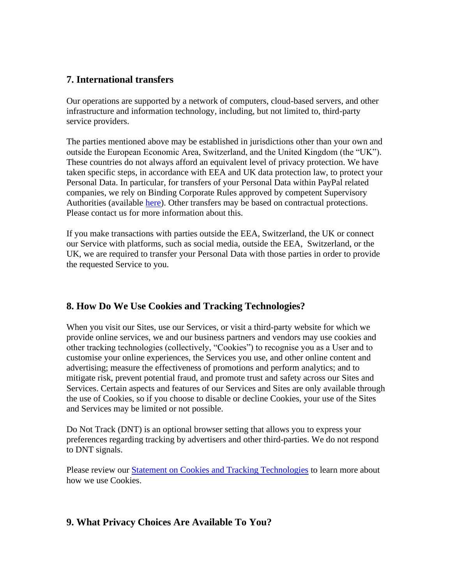### <span id="page-8-0"></span>**7. International transfers**

Our operations are supported by a network of computers, cloud-based servers, and other infrastructure and information technology, including, but not limited to, third-party service providers.

The parties mentioned above may be established in jurisdictions other than your own and outside the European Economic Area, Switzerland, and the United Kingdom (the "UK"). These countries do not always afford an equivalent level of privacy protection. We have taken specific steps, in accordance with EEA and UK data protection law, to protect your Personal Data. In particular, for transfers of your Personal Data within PayPal related companies, we rely on Binding Corporate Rules approved by competent Supervisory Authorities (available [here\)](https://www.paypal.com/uk/webapps/mpp/ua/bcr?locale.x=en_GB). Other transfers may be based on contractual protections. Please contact us for more information about this.

If you make transactions with parties outside the EEA, Switzerland, the UK or connect our Service with platforms, such as social media, outside the EEA, Switzerland, or the UK, we are required to transfer your Personal Data with those parties in order to provide the requested Service to you.

## <span id="page-8-1"></span>**8. How Do We Use Cookies and Tracking Technologies?**

When you visit our Sites, use our Services, or visit a third-party website for which we provide online services, we and our business partners and vendors may use cookies and other tracking technologies (collectively, "Cookies") to recognise you as a User and to customise your online experiences, the Services you use, and other online content and advertising; measure the effectiveness of promotions and perform analytics; and to mitigate risk, prevent potential fraud, and promote trust and safety across our Sites and Services. Certain aspects and features of our Services and Sites are only available through the use of Cookies, so if you choose to disable or decline Cookies, your use of the Sites and Services may be limited or not possible.

Do Not Track (DNT) is an optional browser setting that allows you to express your preferences regarding tracking by advertisers and other third-parties. We do not respond to DNT signals.

Please review our **Statement on Cookies and Tracking Technologies** to learn more about how we use Cookies.

## <span id="page-8-2"></span>**9. What Privacy Choices Are Available To You?**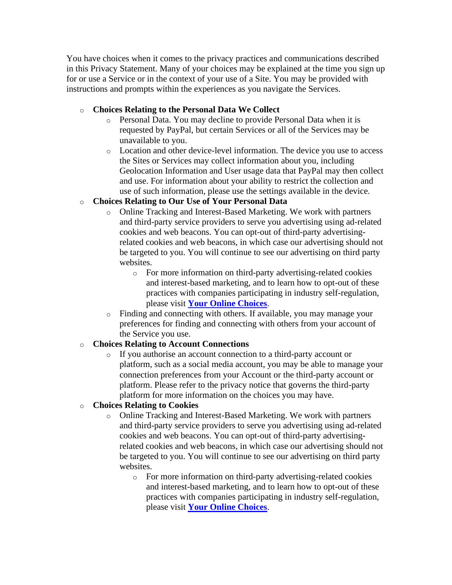You have choices when it comes to the privacy practices and communications described in this Privacy Statement. Many of your choices may be explained at the time you sign up for or use a Service or in the context of your use of a Site. You may be provided with instructions and prompts within the experiences as you navigate the Services.

#### o **Choices Relating to the Personal Data We Collect**

- o Personal Data. You may decline to provide Personal Data when it is requested by PayPal, but certain Services or all of the Services may be unavailable to you.
- o Location and other device-level information. The device you use to access the Sites or Services may collect information about you, including Geolocation Information and User usage data that PayPal may then collect and use. For information about your ability to restrict the collection and use of such information, please use the settings available in the device.

#### o **Choices Relating to Our Use of Your Personal Data**

- o Online Tracking and Interest-Based Marketing. We work with partners and third-party service providers to serve you advertising using ad-related cookies and web beacons. You can opt-out of third-party advertisingrelated cookies and web beacons, in which case our advertising should not be targeted to you. You will continue to see our advertising on third party websites.
	- o For more information on third-party advertising-related cookies and interest-based marketing, and to learn how to opt-out of these practices with companies participating in industry self-regulation, please visit **[Your Online Choices](http://www.youronlinechoices.eu/)**.
- o Finding and connecting with others. If available, you may manage your preferences for finding and connecting with others from your account of the Service you use.

#### o **Choices Relating to Account Connections**

o If you authorise an account connection to a third-party account or platform, such as a social media account, you may be able to manage your connection preferences from your Account or the third-party account or platform. Please refer to the privacy notice that governs the third-party platform for more information on the choices you may have.

## o **Choices Relating to Cookies**

- o Online Tracking and Interest-Based Marketing. We work with partners and third-party service providers to serve you advertising using ad-related cookies and web beacons. You can opt-out of third-party advertisingrelated cookies and web beacons, in which case our advertising should not be targeted to you. You will continue to see our advertising on third party websites.
	- o For more information on third-party advertising-related cookies and interest-based marketing, and to learn how to opt-out of these practices with companies participating in industry self-regulation, please visit **[Your Online Choices](https://www.youronlinechoices.eu/)**.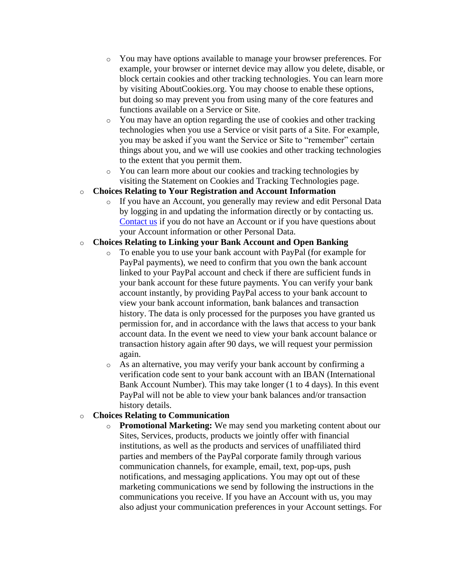- o You may have options available to manage your browser preferences. For example, your browser or internet device may allow you delete, disable, or block certain cookies and other tracking technologies. You can learn more by visiting AboutCookies.org. You may choose to enable these options, but doing so may prevent you from using many of the core features and functions available on a Service or Site.
- o You may have an option regarding the use of cookies and other tracking technologies when you use a Service or visit parts of a Site. For example, you may be asked if you want the Service or Site to "remember" certain things about you, and we will use cookies and other tracking technologies to the extent that you permit them.
- o You can learn more about our cookies and tracking technologies by visiting the Statement on Cookies and Tracking Technologies page.

#### o **Choices Relating to Your Registration and Account Information**

o If you have an Account, you generally may review and edit Personal Data by logging in and updating the information directly or by contacting us. [Contact us](#page-12-2) if you do not have an Account or if you have questions about your Account information or other Personal Data.

#### o **Choices Relating to Linking your Bank Account and Open Banking**

- o To enable you to use your bank account with PayPal (for example for PayPal payments), we need to confirm that you own the bank account linked to your PayPal account and check if there are sufficient funds in your bank account for these future payments. You can verify your bank account instantly, by providing PayPal access to your bank account to view your bank account information, bank balances and transaction history. The data is only processed for the purposes you have granted us permission for, and in accordance with the laws that access to your bank account data. In the event we need to view your bank account balance or transaction history again after 90 days, we will request your permission again.
- o As an alternative, you may verify your bank account by confirming a verification code sent to your bank account with an IBAN (International Bank Account Number). This may take longer (1 to 4 days). In this event PayPal will not be able to view your bank balances and/or transaction history details.

#### o **Choices Relating to Communication**

o **Promotional Marketing:** We may send you marketing content about our Sites, Services, products, products we jointly offer with financial institutions, as well as the products and services of unaffiliated third parties and members of the PayPal corporate family through various communication channels, for example, email, text, pop-ups, push notifications, and messaging applications. You may opt out of these marketing communications we send by following the instructions in the communications you receive. If you have an Account with us, you may also adjust your communication preferences in your Account settings. For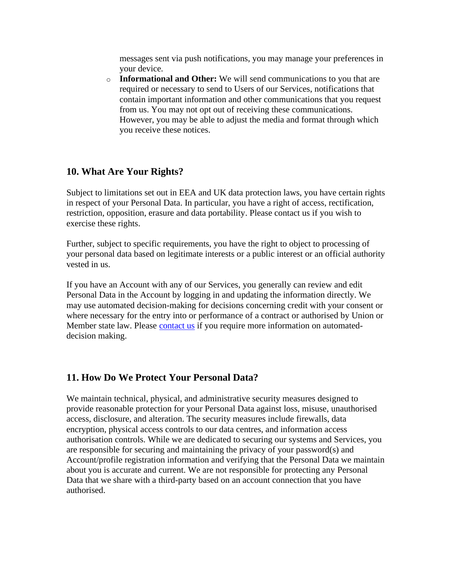messages sent via push notifications, you may manage your preferences in your device.

o **Informational and Other:** We will send communications to you that are required or necessary to send to Users of our Services, notifications that contain important information and other communications that you request from us. You may not opt out of receiving these communications. However, you may be able to adjust the media and format through which you receive these notices.

#### <span id="page-11-0"></span>**10. What Are Your Rights?**

Subject to limitations set out in EEA and UK data protection laws, you have certain rights in respect of your Personal Data. In particular, you have a right of access, rectification, restriction, opposition, erasure and data portability. Please contact us if you wish to exercise these rights.

Further, subject to specific requirements, you have the right to object to processing of your personal data based on legitimate interests or a public interest or an official authority vested in us.

If you have an Account with any of our Services, you generally can review and edit Personal Data in the Account by logging in and updating the information directly. We may use automated decision-making for decisions concerning credit with your consent or where necessary for the entry into or performance of a contract or authorised by Union or Member state law. Please [contact us](#page-12-2) if you require more information on automateddecision making.

#### <span id="page-11-1"></span>**11. How Do We Protect Your Personal Data?**

We maintain technical, physical, and administrative security measures designed to provide reasonable protection for your Personal Data against loss, misuse, unauthorised access, disclosure, and alteration. The security measures include firewalls, data encryption, physical access controls to our data centres, and information access authorisation controls. While we are dedicated to securing our systems and Services, you are responsible for securing and maintaining the privacy of your password(s) and Account/profile registration information and verifying that the Personal Data we maintain about you is accurate and current. We are not responsible for protecting any Personal Data that we share with a third-party based on an account connection that you have authorised.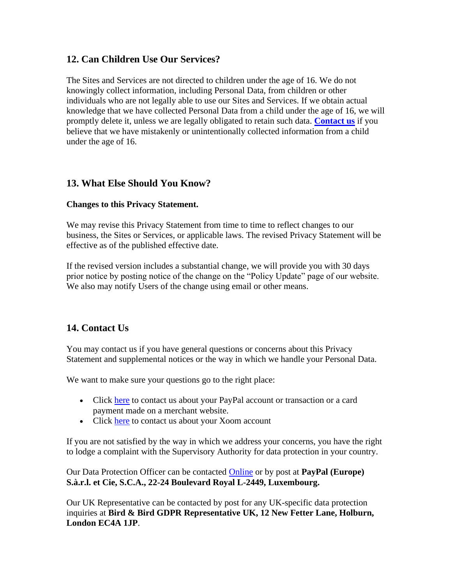## <span id="page-12-0"></span>**12. Can Children Use Our Services?**

The Sites and Services are not directed to children under the age of 16. We do not knowingly collect information, including Personal Data, from children or other individuals who are not legally able to use our Sites and Services. If we obtain actual knowledge that we have collected Personal Data from a child under the age of 16, we will promptly delete it, unless we are legally obligated to retain such data. **[Contact us](#page-12-2)** if you believe that we have mistakenly or unintentionally collected information from a child under the age of 16.

## <span id="page-12-1"></span>**13. What Else Should You Know?**

#### **Changes to this Privacy Statement.**

We may revise this Privacy Statement from time to time to reflect changes to our business, the Sites or Services, or applicable laws. The revised Privacy Statement will be effective as of the published effective date.

If the revised version includes a substantial change, we will provide you with 30 days prior notice by posting notice of the change on the "Policy Update" page of our website. We also may notify Users of the change using email or other means.

## <span id="page-12-2"></span>**14. Contact Us**

You may contact us if you have general questions or concerns about this Privacy Statement and supplemental notices or the way in which we handle your Personal Data.

We want to make sure your questions go to the right place:

- Click [here](https://www.paypal.com/uk/smarthelp/contact-us?email=privacy&locale.x=en_GB) to contact us about your PayPal account or transaction or a card payment made on a merchant website.
- Click [here](https://www.xoom.com/contact-xoom-customer-service) to contact us about your Xoom account

If you are not satisfied by the way in which we address your concerns, you have the right to lodge a complaint with the Supervisory Authority for data protection in your country.

Our Data Protection Officer can be contacted [Online](https://www.paypal.com/uk/smarthelp/contact-us?email=privacy&locale.x=en_GB) or by post at **PayPal (Europe) S.à.r.l. et Cie, S.C.A., 22-24 Boulevard Royal L-2449, Luxembourg.**

Our UK Representative can be contacted by post for any UK-specific data protection inquiries at **Bird & Bird GDPR Representative UK, 12 New Fetter Lane, Holburn, London EC4A 1JP**.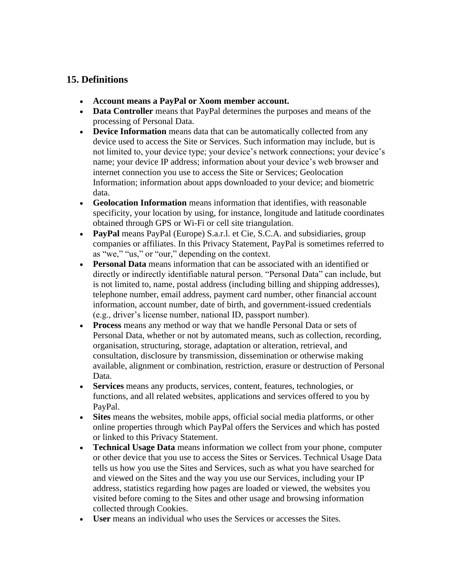## <span id="page-13-0"></span>**15. Definitions**

- <span id="page-13-7"></span>• **Account means a PayPal or Xoom member account.**
- <span id="page-13-2"></span>• **Data Controller** means that PayPal determines the purposes and means of the processing of Personal Data.
- <span id="page-13-8"></span>• **Device Information** means data that can be automatically collected from any device used to access the Site or Services. Such information may include, but is not limited to, your device type; your device's network connections; your device's name; your device IP address; information about your device's web browser and internet connection you use to access the Site or Services; Geolocation Information; information about apps downloaded to your device; and biometric data.
- <span id="page-13-10"></span>• **Geolocation Information** means information that identifies, with reasonable specificity, your location by using, for instance, longitude and latitude coordinates obtained through GPS or Wi-Fi or cell site triangulation.
- <span id="page-13-1"></span>• **PayPal** means PayPal (Europe) S.a.r.l. et Cie, S.C.A. and subsidiaries, group companies or affiliates. In this Privacy Statement, PayPal is sometimes referred to as "we," "us," or "our," depending on the context.
- <span id="page-13-3"></span>• **Personal Data** means information that can be associated with an identified or directly or indirectly identifiable natural person. "Personal Data" can include, but is not limited to, name, postal address (including billing and shipping addresses), telephone number, email address, payment card number, other financial account information, account number, date of birth, and government-issued credentials (e.g., driver's license number, national ID, passport number).
- <span id="page-13-11"></span>• **Process** means any method or way that we handle Personal Data or sets of Personal Data, whether or not by automated means, such as collection, recording, organisation, structuring, storage, adaptation or alteration, retrieval, and consultation, disclosure by transmission, dissemination or otherwise making available, alignment or combination, restriction, erasure or destruction of Personal Data.
- <span id="page-13-5"></span>• **Services** means any products, services, content, features, technologies, or functions, and all related websites, applications and services offered to you by PayPal.
- <span id="page-13-4"></span>• **Sites** means the websites, mobile apps, official social media platforms, or other online properties through which PayPal offers the Services and which has posted or linked to this Privacy Statement.
- <span id="page-13-9"></span>• **Technical Usage Data** means information we collect from your phone, computer or other device that you use to access the Sites or Services. Technical Usage Data tells us how you use the Sites and Services, such as what you have searched for and viewed on the Sites and the way you use our Services, including your IP address, statistics regarding how pages are loaded or viewed, the websites you visited before coming to the Sites and other usage and browsing information collected through Cookies.
- <span id="page-13-6"></span>• **User** means an individual who uses the Services or accesses the Sites.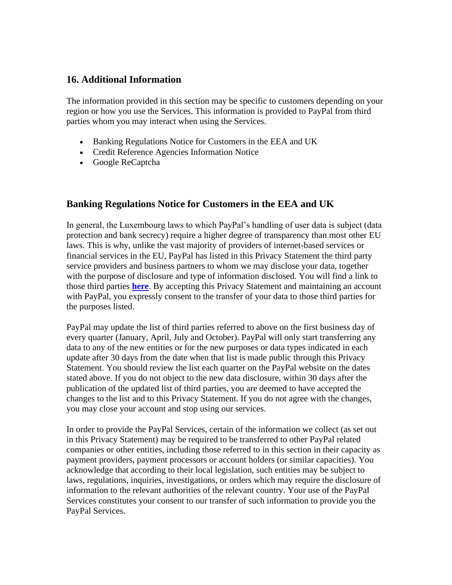#### <span id="page-14-0"></span>**16. Additional Information**

The information provided in this section may be specific to customers depending on your region or how you use the Services. This information is provided to PayPal from third parties whom you may interact when using the Services.

- Banking Regulations Notice for Customers in the EEA and UK
- Credit Reference Agencies Information Notice
- Google ReCaptcha

#### **Banking Regulations Notice for Customers in the EEA and UK**

In general, the Luxembourg laws to which PayPal's handling of user data is subject (data protection and bank secrecy) require a higher degree of transparency than most other EU laws. This is why, unlike the vast majority of providers of internet-based services or financial services in the EU, PayPal has listed in this Privacy Statement the third party service providers and business partners to whom we may disclose your data, together with the purpose of disclosure and type of information disclosed. You will find a link to those third parties **[here](https://www.paypal.com/uk/webapps/mpp/ua/third-parties-list?locale.x=en_GB)**. By accepting this Privacy Statement and maintaining an account with PayPal, you expressly consent to the transfer of your data to those third parties for the purposes listed.

PayPal may update the list of third parties referred to above on the first business day of every quarter (January, April, July and October). PayPal will only start transferring any data to any of the new entities or for the new purposes or data types indicated in each update after 30 days from the date when that list is made public through this Privacy Statement. You should review the list each quarter on the PayPal website on the dates stated above. If you do not object to the new data disclosure, within 30 days after the publication of the updated list of third parties, you are deemed to have accepted the changes to the list and to this Privacy Statement. If you do not agree with the changes, you may close your account and stop using our services.

In order to provide the PayPal Services, certain of the information we collect (as set out in this Privacy Statement) may be required to be transferred to other PayPal related companies or other entities, including those referred to in this section in their capacity as payment providers, payment processors or account holders (or similar capacities). You acknowledge that according to their local legislation, such entities may be subject to laws, regulations, inquiries, investigations, or orders which may require the disclosure of information to the relevant authorities of the relevant country. Your use of the PayPal Services constitutes your consent to our transfer of such information to provide you the PayPal Services.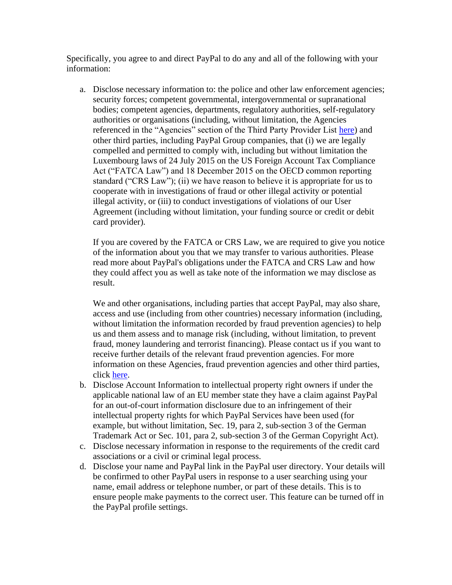Specifically, you agree to and direct PayPal to do any and all of the following with your information:

a. Disclose necessary information to: the police and other law enforcement agencies; security forces; competent governmental, intergovernmental or supranational bodies; competent agencies, departments, regulatory authorities, self-regulatory authorities or organisations (including, without limitation, the Agencies referenced in the "Agencies" section of the Third Party Provider List [here\)](https://www.paypal.com/uk/webapps/mpp/ua/third-parties-list?locale.x=en_GB) and other third parties, including PayPal Group companies, that (i) we are legally compelled and permitted to comply with, including but without limitation the Luxembourg laws of 24 July 2015 on the US Foreign Account Tax Compliance Act ("FATCA Law") and 18 December 2015 on the OECD common reporting standard ("CRS Law"); (ii) we have reason to believe it is appropriate for us to cooperate with in investigations of fraud or other illegal activity or potential illegal activity, or (iii) to conduct investigations of violations of our User Agreement (including without limitation, your funding source or credit or debit card provider).

If you are covered by the FATCA or CRS Law, we are required to give you notice of the information about you that we may transfer to various authorities. Please read more about PayPal's obligations under the FATCA and CRS Law and how they could affect you as well as take note of the information we may disclose as result.

We and other organisations, including parties that accept PayPal, may also share, access and use (including from other countries) necessary information (including, without limitation the information recorded by fraud prevention agencies) to help us and them assess and to manage risk (including, without limitation, to prevent fraud, money laundering and terrorist financing). Please contact us if you want to receive further details of the relevant fraud prevention agencies. For more information on these Agencies, fraud prevention agencies and other third parties, click [here.](https://www.paypal.com/uk/webapps/mpp/ua/third-parties-list?locale.x=en_GB)

- b. Disclose Account Information to intellectual property right owners if under the applicable national law of an EU member state they have a claim against PayPal for an out-of-court information disclosure due to an infringement of their intellectual property rights for which PayPal Services have been used (for example, but without limitation, Sec. 19, para 2, sub-section 3 of the German Trademark Act or Sec. 101, para 2, sub-section 3 of the German Copyright Act).
- c. Disclose necessary information in response to the requirements of the credit card associations or a civil or criminal legal process.
- d. Disclose your name and PayPal link in the PayPal user directory. Your details will be confirmed to other PayPal users in response to a user searching using your name, email address or telephone number, or part of these details. This is to ensure people make payments to the correct user. This feature can be turned off in the PayPal profile settings.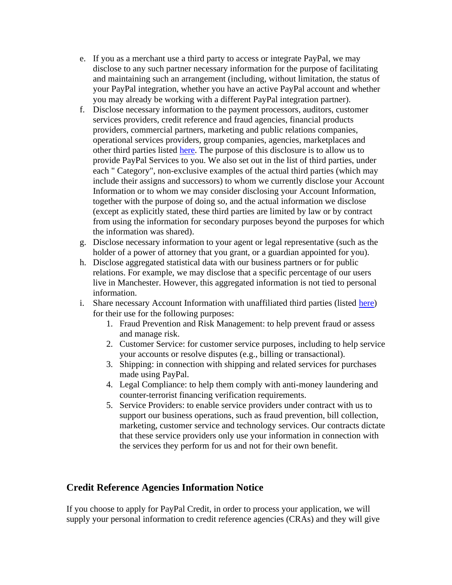- e. If you as a merchant use a third party to access or integrate PayPal, we may disclose to any such partner necessary information for the purpose of facilitating and maintaining such an arrangement (including, without limitation, the status of your PayPal integration, whether you have an active PayPal account and whether you may already be working with a different PayPal integration partner).
- f. Disclose necessary information to the payment processors, auditors, customer services providers, credit reference and fraud agencies, financial products providers, commercial partners, marketing and public relations companies, operational services providers, group companies, agencies, marketplaces and other third parties listed [here.](https://www.paypal.com/uk/webapps/mpp/ua/third-parties-list?locale.x=en_GB) The purpose of this disclosure is to allow us to provide PayPal Services to you. We also set out in the list of third parties, under each " Category", non-exclusive examples of the actual third parties (which may include their assigns and successors) to whom we currently disclose your Account Information or to whom we may consider disclosing your Account Information, together with the purpose of doing so, and the actual information we disclose (except as explicitly stated, these third parties are limited by law or by contract from using the information for secondary purposes beyond the purposes for which the information was shared).
- g. Disclose necessary information to your agent or legal representative (such as the holder of a power of attorney that you grant, or a guardian appointed for you).
- h. Disclose aggregated statistical data with our business partners or for public relations. For example, we may disclose that a specific percentage of our users live in Manchester. However, this aggregated information is not tied to personal information.
- i. Share necessary Account Information with unaffiliated third parties (listed [here\)](https://www.paypal.com/uk/webapps/mpp/ua/third-parties-list?locale.x=en_GB) for their use for the following purposes:
	- 1. Fraud Prevention and Risk Management: to help prevent fraud or assess and manage risk.
	- 2. Customer Service: for customer service purposes, including to help service your accounts or resolve disputes (e.g., billing or transactional).
	- 3. Shipping: in connection with shipping and related services for purchases made using PayPal.
	- 4. Legal Compliance: to help them comply with anti-money laundering and counter-terrorist financing verification requirements.
	- 5. Service Providers: to enable service providers under contract with us to support our business operations, such as fraud prevention, bill collection, marketing, customer service and technology services. Our contracts dictate that these service providers only use your information in connection with the services they perform for us and not for their own benefit.

## **Credit Reference Agencies Information Notice**

If you choose to apply for PayPal Credit, in order to process your application, we will supply your personal information to credit reference agencies (CRAs) and they will give